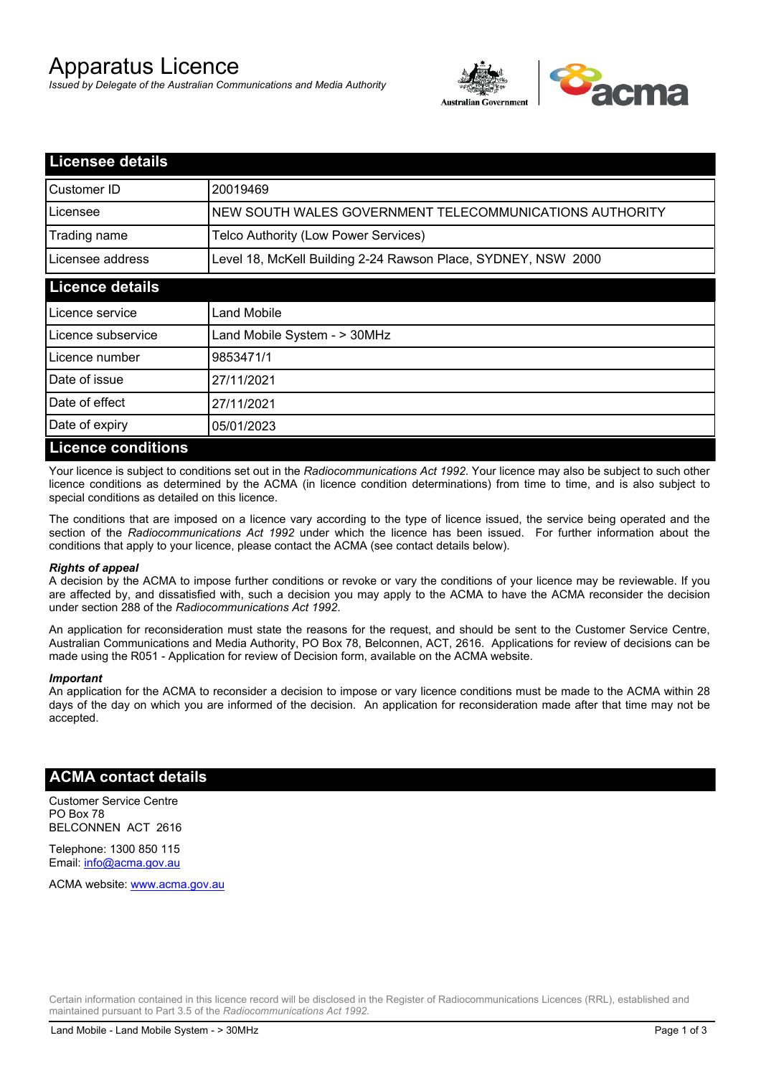# Apparatus Licence

*Issued by Delegate of the Australian Communications and Media Authority*



| <b>Licensee details</b>   |                                                               |  |
|---------------------------|---------------------------------------------------------------|--|
| Customer ID               | 20019469                                                      |  |
| Licensee                  | NEW SOUTH WALES GOVERNMENT TELECOMMUNICATIONS AUTHORITY       |  |
| Trading name              | Telco Authority (Low Power Services)                          |  |
| Licensee address          | Level 18, McKell Building 2-24 Rawson Place, SYDNEY, NSW 2000 |  |
| <b>Licence details</b>    |                                                               |  |
| l Licence service         | Land Mobile                                                   |  |
| Licence subservice        | Land Mobile System - > 30MHz                                  |  |
| Licence number            | 9853471/1                                                     |  |
| Date of issue             | 27/11/2021                                                    |  |
| Date of effect            | 27/11/2021                                                    |  |
| Date of expiry            | 05/01/2023                                                    |  |
| <b>Licence conditions</b> |                                                               |  |

Your licence is subject to conditions set out in the *Radiocommunications Act 1992*. Your licence may also be subject to such other licence conditions as determined by the ACMA (in licence condition determinations) from time to time, and is also subject to special conditions as detailed on this licence.

The conditions that are imposed on a licence vary according to the type of licence issued, the service being operated and the section of the *Radiocommunications Act 1992* under which the licence has been issued. For further information about the conditions that apply to your licence, please contact the ACMA (see contact details below).

#### *Rights of appeal*

A decision by the ACMA to impose further conditions or revoke or vary the conditions of your licence may be reviewable. If you are affected by, and dissatisfied with, such a decision you may apply to the ACMA to have the ACMA reconsider the decision under section 288 of the *Radiocommunications Act 1992*.

An application for reconsideration must state the reasons for the request, and should be sent to the Customer Service Centre, Australian Communications and Media Authority, PO Box 78, Belconnen, ACT, 2616. Applications for review of decisions can be made using the R051 - Application for review of Decision form, available on the ACMA website.

#### *Important*

An application for the ACMA to reconsider a decision to impose or vary licence conditions must be made to the ACMA within 28 days of the day on which you are informed of the decision. An application for reconsideration made after that time may not be accepted.

### **ACMA contact details**

Customer Service Centre PO Box 78 BELCONNEN ACT 2616

Telephone: 1300 850 115 Email: info@acma.gov.au

ACMA website: www.acma.gov.au

Certain information contained in this licence record will be disclosed in the Register of Radiocommunications Licences (RRL), established and maintained pursuant to Part 3.5 of the *Radiocommunications Act 1992.*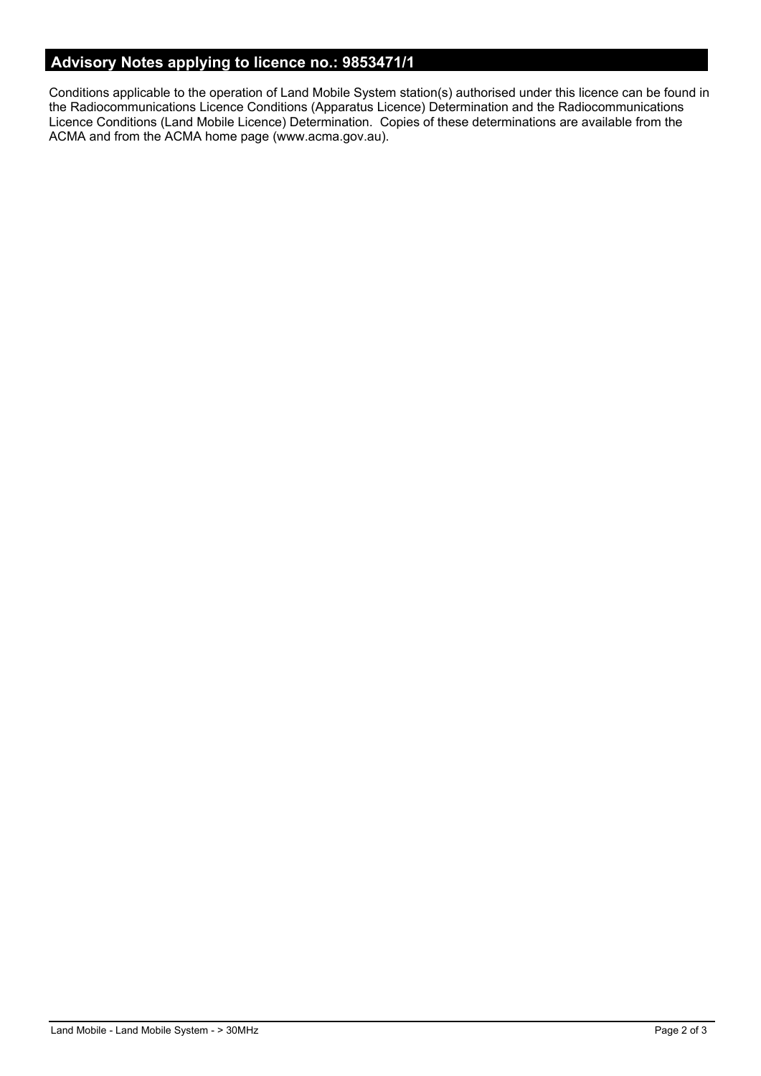# **Advisory Notes applying to licence no.: 9853471/1**

Conditions applicable to the operation of Land Mobile System station(s) authorised under this licence can be found in the Radiocommunications Licence Conditions (Apparatus Licence) Determination and the Radiocommunications Licence Conditions (Land Mobile Licence) Determination. Copies of these determinations are available from the ACMA and from the ACMA home page (www.acma.gov.au).